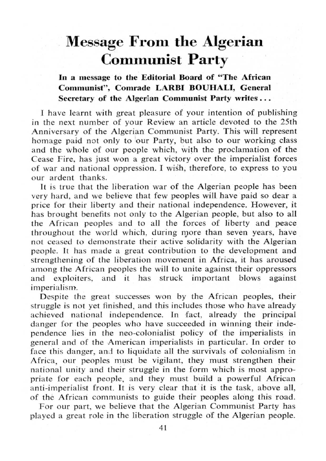## Message From the Algerian Communist Party

In a message to the Editorial Board of "The African Communist", Comrade LARBI BOUHALI, General Secretary of the Algerian Communist Party writes . . .

I have learnt with great pleasure of your intention of publishing in the next number of your Review an article devoted to the 25th Anniversary of the Algerian Communist Party. This will represent homage paid not only to our Party, but also to our working class and the whole of our people which, with the proclamation of the Cease Fire, has just won a great victory over the imperialist forces of war and national oppression. I wish, therefore, to express to you our ardent thanks.

It is true that the liberation war of the Algerian people has been very hard, and we believe that few peoples will have paid so dear a price for their liberty and their national independence . However, it has brought benefits not only to the Algerian people, but also to all the African peoples and to all the forces of liberty and peace throughout the world which, during more than seven years, have not ceased to demonstrate their active solidarity with the Algerian people. It has made a great contribution to the development and strengthening of the liberation movement in Africa, it has aroused among the African peoples the will to unite against their oppressors and exploiters, and it has struck important blows against and it has struck imperialism.

Despite the great successes won by the African peoples, their struggle is not yet finished, and this includes those who have already achieved national independence . In fact, already the principal danger for the peoples who have succeeded in winning their independence lies in the neo-colonialist policy of the imperialists in general and of the American imperialists in particular. In order to face this danger, and to liquidate all the survivals of colonialism in Africa, our peoples must be vigilant, they must strengthen their national unity and their struggle in the form which is most appropriate for each people, and they must build a powerful African anti-imperialist front. It is very clear that it is the task, above all, of the African communists to guide their peoples along this road .

For our part, we believe that the Algerian Communist Party has played a great role in the liberation struggle of the Algerian people.